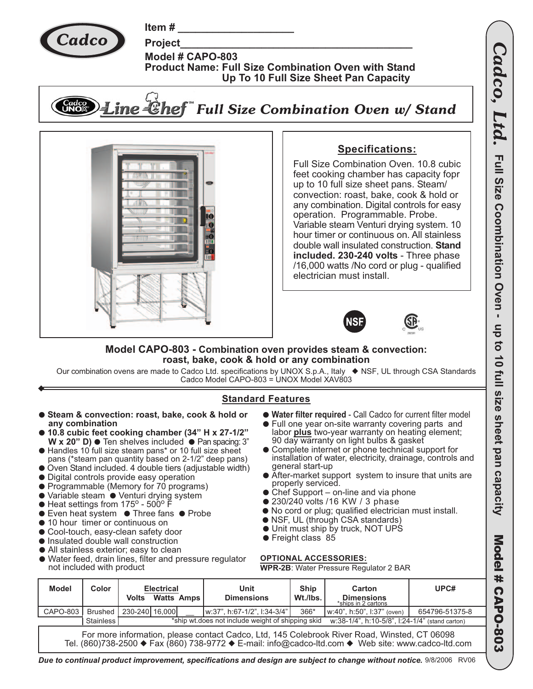

Item#

**Project** Model # CAPO-803 **Product Name: Full Size Combination Oven with Stand** Up To 10 Full Size Sheet Pan Capacity





## **Specifications:**

Full Size Combination Oven, 10.8 cubic feet cooking chamber has capacity foor up to 10 full size sheet pans. Steam/ convection: roast, bake, cook & hold or any combination. Digital controls for easy operation. Programmable. Probe. Variable steam Venturi drying system. 10 hour timer or continuous on. All stainless double wall insulated construction. Stand included. 230-240 volts - Three phase /16,000 watts /No cord or plug - qualified electrician must install.



## Model CAPO-803 - Combination oven provides steam & convection: roast, bake, cook & hold or any combination

Our combination ovens are made to Cadco Ltd. specifications by UNOX S.p.A., Italy ♦ NSF, UL through CSA Standards<br>Cadco Model CAPO-803 = UNOX Model XAV803

## **Standard Features**

**• Steam & convection: roast, bake, cook & hold or** • Water filter required - Call Cadco for current filter model • Full one year on-site warranty covering parts and any combination labor plus two-year warranty on heating element; 10.8 cubic feet cooking chamber (34" H x 27-1/2" 90 day warranty on light bulbs & gasket W x 20" D)  $\bullet$  Ten shelves included  $\bullet$  Pan spacing: 3" • Complete internet or phone technical support for Handles 10 full size steam pans\* or 10 full size sheet installation of water, electricity, drainage, controls and pans (\*steam pan quantity based on 2-1/2" deep pans) general start-up Oven Stand included. 4 double tiers (adjustable width) • After-market support system to insure that units are • Digital controls provide easy operation properly serviced. • Programmable (Memory for 70 programs) • Chef Support – on-line and via phone • Variable steam • Venturi drying system • 230/240 volts /16 KW / 3 phase  $\bullet$  Heat settings from 175<sup>o</sup> - 500<sup>o</sup> F ● No cord or plug; qualified electrician must install. Even heat system ● Three fans ● Probe  $\bullet$ • NSF, UL (through CSA standards) 10 hour timer or continuous on  $\bullet$ • Unit must ship by truck, NOT UPS • Cool-touch, easy-clean safety door • Freight class 85 • Insulated double wall construction • All stainless exterior; easy to clean Water feed, drain lines, filter and pressure regulator **OPTIONAL ACCESSORIES:**  $\bullet$ not included with product **WPR-2B: Water Pressure Regulator 2 BAR Model** Ship UPC# Color Unit **Electrical** Carton Volts<sup>-</sup> **Watts** Amps **Dimensions** Wt./lbs. **Dimensions** ships in 2 cartons CAPO-803 Brushed 230-240 16,000 366\* w:37", h:67-1/2", l:34-3/4" w:40", h:50", l:37" (oven) 654796-51375-8 ship wt.does not include weight of shipping skid **Stainless** w:38-1/4", h:10-5/8", l:24-1/4" (stand carton)

For more information, please contact Cadco, Ltd, 145 Colebrook River Road, Winsted, CT 06098 Tel. (860)738-2500 ♦ Fax (860) 738-9772 ♦ E-mail: info@cadco-ltd.com ♦ Web site: www.cadco-ltd.com

Due to continual product improvement, specifications and design are subject to change without notice. 9/8/2006 RV06